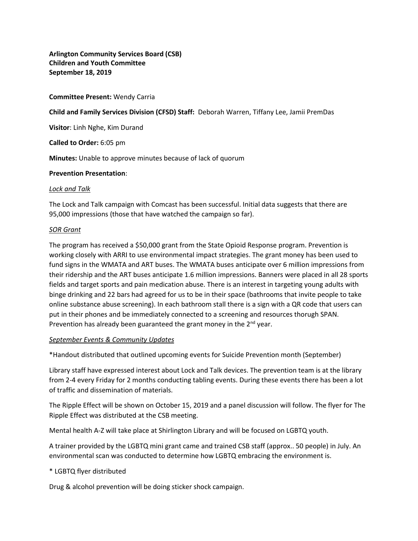**Arlington Community Services Board (CSB) Children and Youth Committee September 18, 2019**

### **Committee Present:** Wendy Carria

**Child and Family Services Division (CFSD) Staff:** Deborah Warren, Tiffany Lee, Jamii PremDas

**Visitor**: Linh Nghe, Kim Durand

**Called to Order:** 6:05 pm

**Minutes:** Unable to approve minutes because of lack of quorum

### **Prevention Presentation**:

### *Lock and Talk*

The Lock and Talk campaign with Comcast has been successful. Initial data suggests that there are 95,000 impressions (those that have watched the campaign so far).

### *SOR Grant*

The program has received a \$50,000 grant from the State Opioid Response program. Prevention is working closely with ARRI to use environmental impact strategies. The grant money has been used to fund signs in the WMATA and ART buses. The WMATA buses anticipate over 6 million impressions from their ridership and the ART buses anticipate 1.6 million impressions. Banners were placed in all 28 sports fields and target sports and pain medication abuse. There is an interest in targeting young adults with binge drinking and 22 bars had agreed for us to be in their space (bathrooms that invite people to take online substance abuse screening). In each bathroom stall there is a sign with a QR code that users can put in their phones and be immediately connected to a screening and resources thorugh SPAN. Prevention has already been guaranteed the grant money in the  $2^{nd}$  year.

### *September Events & Community Updates*

\*Handout distributed that outlined upcoming events for Suicide Prevention month (September)

Library staff have expressed interest about Lock and Talk devices. The prevention team is at the library from 2-4 every Friday for 2 months conducting tabling events. During these events there has been a lot of traffic and dissemination of materials.

The Ripple Effect will be shown on October 15, 2019 and a panel discussion will follow. The flyer for The Ripple Effect was distributed at the CSB meeting.

Mental health A-Z will take place at Shirlington Library and will be focused on LGBTQ youth.

A trainer provided by the LGBTQ mini grant came and trained CSB staff (approx.. 50 people) in July. An environmental scan was conducted to determine how LGBTQ embracing the environment is.

## \* LGBTQ flyer distributed

Drug & alcohol prevention will be doing sticker shock campaign.